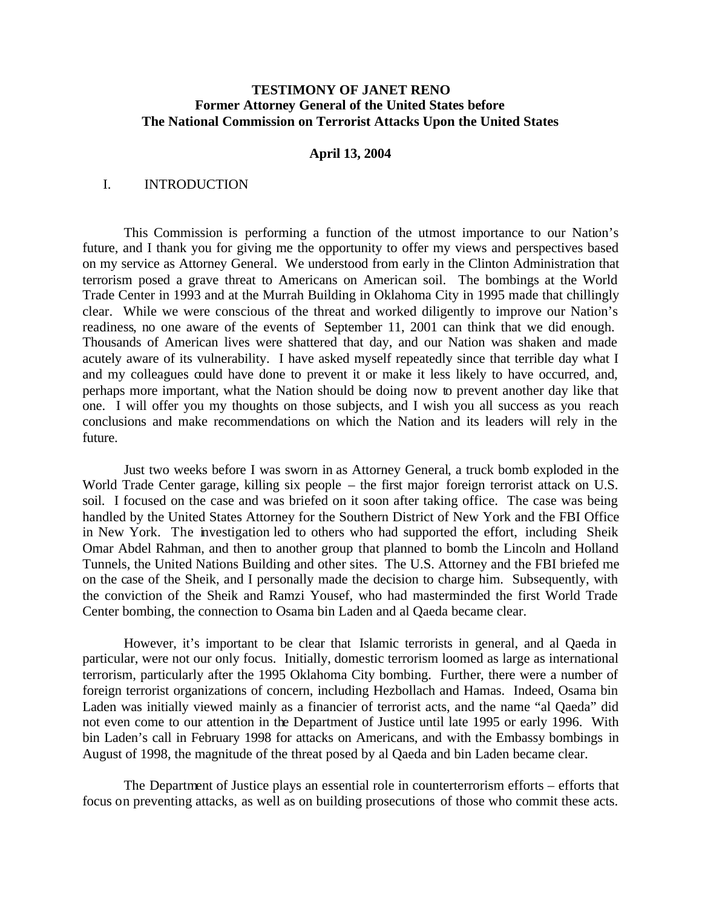## **TESTIMONY OF JANET RENO Former Attorney General of the United States before The National Commission on Terrorist Attacks Upon the United States**

#### **April 13, 2004**

#### I. INTRODUCTION

This Commission is performing a function of the utmost importance to our Nation's future, and I thank you for giving me the opportunity to offer my views and perspectives based on my service as Attorney General. We understood from early in the Clinton Administration that terrorism posed a grave threat to Americans on American soil. The bombings at the World Trade Center in 1993 and at the Murrah Building in Oklahoma City in 1995 made that chillingly clear. While we were conscious of the threat and worked diligently to improve our Nation's readiness, no one aware of the events of September 11, 2001 can think that we did enough. Thousands of American lives were shattered that day, and our Nation was shaken and made acutely aware of its vulnerability. I have asked myself repeatedly since that terrible day what I and my colleagues could have done to prevent it or make it less likely to have occurred, and, perhaps more important, what the Nation should be doing now to prevent another day like that one. I will offer you my thoughts on those subjects, and I wish you all success as you reach conclusions and make recommendations on which the Nation and its leaders will rely in the future.

Just two weeks before I was sworn in as Attorney General, a truck bomb exploded in the World Trade Center garage, killing six people – the first major foreign terrorist attack on U.S. soil. I focused on the case and was briefed on it soon after taking office. The case was being handled by the United States Attorney for the Southern District of New York and the FBI Office in New York. The investigation led to others who had supported the effort, including Sheik Omar Abdel Rahman, and then to another group that planned to bomb the Lincoln and Holland Tunnels, the United Nations Building and other sites. The U.S. Attorney and the FBI briefed me on the case of the Sheik, and I personally made the decision to charge him. Subsequently, with the conviction of the Sheik and Ramzi Yousef, who had masterminded the first World Trade Center bombing, the connection to Osama bin Laden and al Qaeda became clear.

However, it's important to be clear that Islamic terrorists in general, and al Qaeda in particular, were not our only focus. Initially, domestic terrorism loomed as large as international terrorism, particularly after the 1995 Oklahoma City bombing. Further, there were a number of foreign terrorist organizations of concern, including Hezbollach and Hamas. Indeed, Osama bin Laden was initially viewed mainly as a financier of terrorist acts, and the name "al Qaeda" did not even come to our attention in the Department of Justice until late 1995 or early 1996. With bin Laden's call in February 1998 for attacks on Americans, and with the Embassy bombings in August of 1998, the magnitude of the threat posed by al Qaeda and bin Laden became clear.

The Department of Justice plays an essential role in counterterrorism efforts – efforts that focus on preventing attacks, as well as on building prosecutions of those who commit these acts.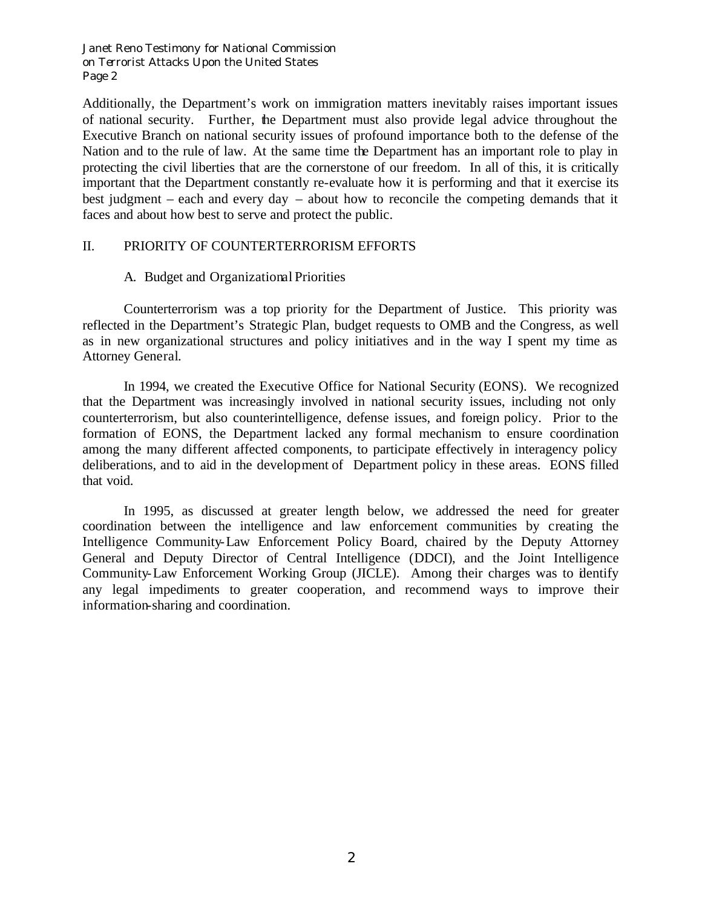Additionally, the Department's work on immigration matters inevitably raises important issues of national security. Further, the Department must also provide legal advice throughout the Executive Branch on national security issues of profound importance both to the defense of the Nation and to the rule of law. At the same time the Department has an important role to play in protecting the civil liberties that are the cornerstone of our freedom. In all of this, it is critically important that the Department constantly re-evaluate how it is performing and that it exercise its best judgment – each and every day – about how to reconcile the competing demands that it faces and about how best to serve and protect the public.

#### II. PRIORITY OF COUNTERTERRORISM EFFORTS

#### A. Budget and Organizational Priorities

Counterterrorism was a top priority for the Department of Justice. This priority was reflected in the Department's Strategic Plan, budget requests to OMB and the Congress, as well as in new organizational structures and policy initiatives and in the way I spent my time as Attorney General.

In 1994, we created the Executive Office for National Security (EONS). We recognized that the Department was increasingly involved in national security issues, including not only counterterrorism, but also counterintelligence, defense issues, and foreign policy. Prior to the formation of EONS, the Department lacked any formal mechanism to ensure coordination among the many different affected components, to participate effectively in interagency policy deliberations, and to aid in the development of Department policy in these areas. EONS filled that void.

In 1995, as discussed at greater length below, we addressed the need for greater coordination between the intelligence and law enforcement communities by creating the Intelligence Community-Law Enforcement Policy Board, chaired by the Deputy Attorney General and Deputy Director of Central Intelligence (DDCI), and the Joint Intelligence Community-Law Enforcement Working Group (JICLE). Among their charges was to identify any legal impediments to greater cooperation, and recommend ways to improve their information-sharing and coordination.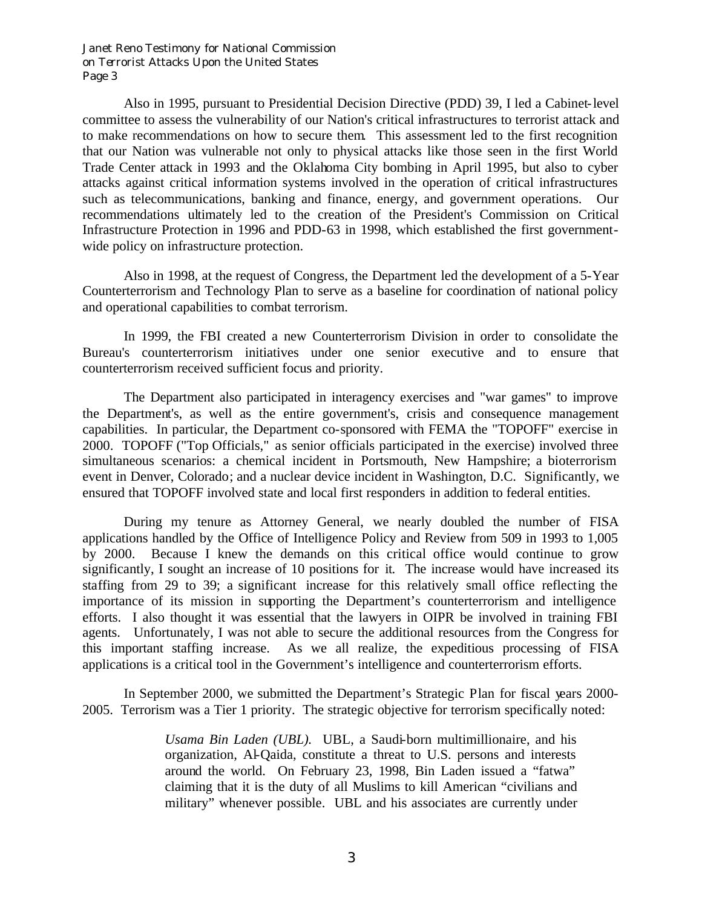Also in 1995, pursuant to Presidential Decision Directive (PDD) 39, I led a Cabinet-level committee to assess the vulnerability of our Nation's critical infrastructures to terrorist attack and to make recommendations on how to secure them. This assessment led to the first recognition that our Nation was vulnerable not only to physical attacks like those seen in the first World Trade Center attack in 1993 and the Oklahoma City bombing in April 1995, but also to cyber attacks against critical information systems involved in the operation of critical infrastructures such as telecommunications, banking and finance, energy, and government operations. Our recommendations ultimately led to the creation of the President's Commission on Critical Infrastructure Protection in 1996 and PDD-63 in 1998, which established the first governmentwide policy on infrastructure protection.

Also in 1998, at the request of Congress, the Department led the development of a 5-Year Counterterrorism and Technology Plan to serve as a baseline for coordination of national policy and operational capabilities to combat terrorism.

In 1999, the FBI created a new Counterterrorism Division in order to consolidate the Bureau's counterterrorism initiatives under one senior executive and to ensure that counterterrorism received sufficient focus and priority.

The Department also participated in interagency exercises and "war games" to improve the Department's, as well as the entire government's, crisis and consequence management capabilities. In particular, the Department co-sponsored with FEMA the "TOPOFF" exercise in 2000. TOPOFF ("Top Officials," as senior officials participated in the exercise) involved three simultaneous scenarios: a chemical incident in Portsmouth, New Hampshire; a bioterrorism event in Denver, Colorado; and a nuclear device incident in Washington, D.C. Significantly, we ensured that TOPOFF involved state and local first responders in addition to federal entities.

During my tenure as Attorney General, we nearly doubled the number of FISA applications handled by the Office of Intelligence Policy and Review from 509 in 1993 to 1,005 by 2000. Because I knew the demands on this critical office would continue to grow significantly, I sought an increase of 10 positions for it. The increase would have increased its staffing from 29 to 39; a significant increase for this relatively small office reflecting the importance of its mission in supporting the Department's counterterrorism and intelligence efforts. I also thought it was essential that the lawyers in OIPR be involved in training FBI agents. Unfortunately, I was not able to secure the additional resources from the Congress for this important staffing increase. As we all realize, the expeditious processing of FISA applications is a critical tool in the Government's intelligence and counterterrorism efforts.

In September 2000, we submitted the Department's Strategic Plan for fiscal years 2000- 2005. Terrorism was a Tier 1 priority. The strategic objective for terrorism specifically noted:

> *Usama Bin Laden (UBL).* UBL, a Saudi-born multimillionaire, and his organization, Al-Qaida, constitute a threat to U.S. persons and interests around the world. On February 23, 1998, Bin Laden issued a "fatwa" claiming that it is the duty of all Muslims to kill American "civilians and military" whenever possible. UBL and his associates are currently under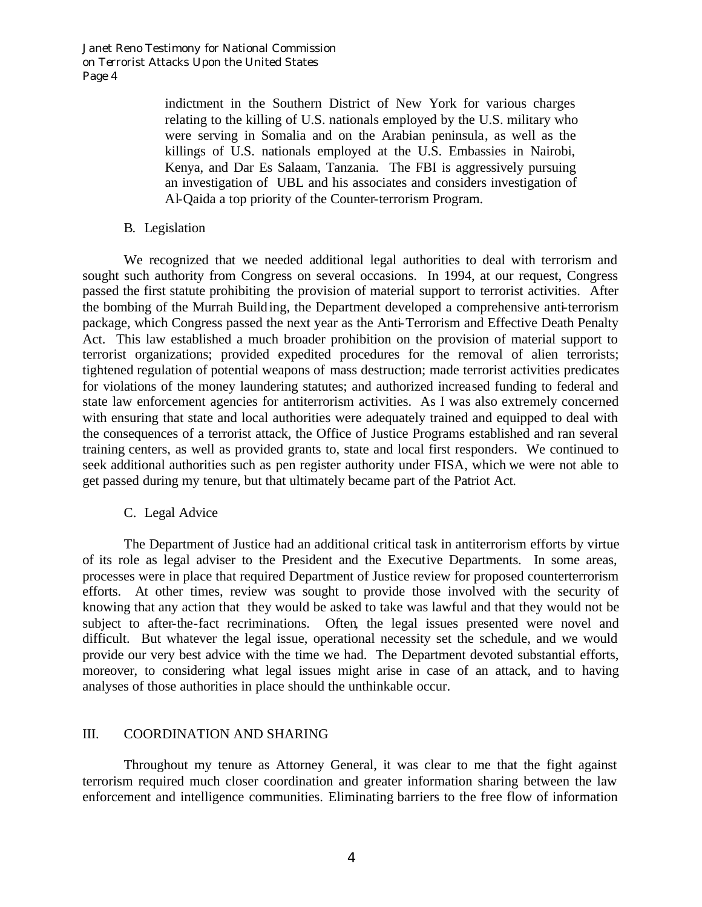> indictment in the Southern District of New York for various charges relating to the killing of U.S. nationals employed by the U.S. military who were serving in Somalia and on the Arabian peninsula, as well as the killings of U.S. nationals employed at the U.S. Embassies in Nairobi, Kenya, and Dar Es Salaam, Tanzania. The FBI is aggressively pursuing an investigation of UBL and his associates and considers investigation of Al-Qaida a top priority of the Counter-terrorism Program.

### B. Legislation

We recognized that we needed additional legal authorities to deal with terrorism and sought such authority from Congress on several occasions. In 1994, at our request, Congress passed the first statute prohibiting the provision of material support to terrorist activities. After the bombing of the Murrah Building, the Department developed a comprehensive anti-terrorism package, which Congress passed the next year as the Anti-Terrorism and Effective Death Penalty Act. This law established a much broader prohibition on the provision of material support to terrorist organizations; provided expedited procedures for the removal of alien terrorists; tightened regulation of potential weapons of mass destruction; made terrorist activities predicates for violations of the money laundering statutes; and authorized increased funding to federal and state law enforcement agencies for antiterrorism activities. As I was also extremely concerned with ensuring that state and local authorities were adequately trained and equipped to deal with the consequences of a terrorist attack, the Office of Justice Programs established and ran several training centers, as well as provided grants to, state and local first responders. We continued to seek additional authorities such as pen register authority under FISA, which we were not able to get passed during my tenure, but that ultimately became part of the Patriot Act.

### C. Legal Advice

The Department of Justice had an additional critical task in antiterrorism efforts by virtue of its role as legal adviser to the President and the Executive Departments. In some areas, processes were in place that required Department of Justice review for proposed counterterrorism efforts. At other times, review was sought to provide those involved with the security of knowing that any action that they would be asked to take was lawful and that they would not be subject to after-the-fact recriminations. Often, the legal issues presented were novel and difficult. But whatever the legal issue, operational necessity set the schedule, and we would provide our very best advice with the time we had. The Department devoted substantial efforts, moreover, to considering what legal issues might arise in case of an attack, and to having analyses of those authorities in place should the unthinkable occur.

## III. COORDINATION AND SHARING

Throughout my tenure as Attorney General, it was clear to me that the fight against terrorism required much closer coordination and greater information sharing between the law enforcement and intelligence communities. Eliminating barriers to the free flow of information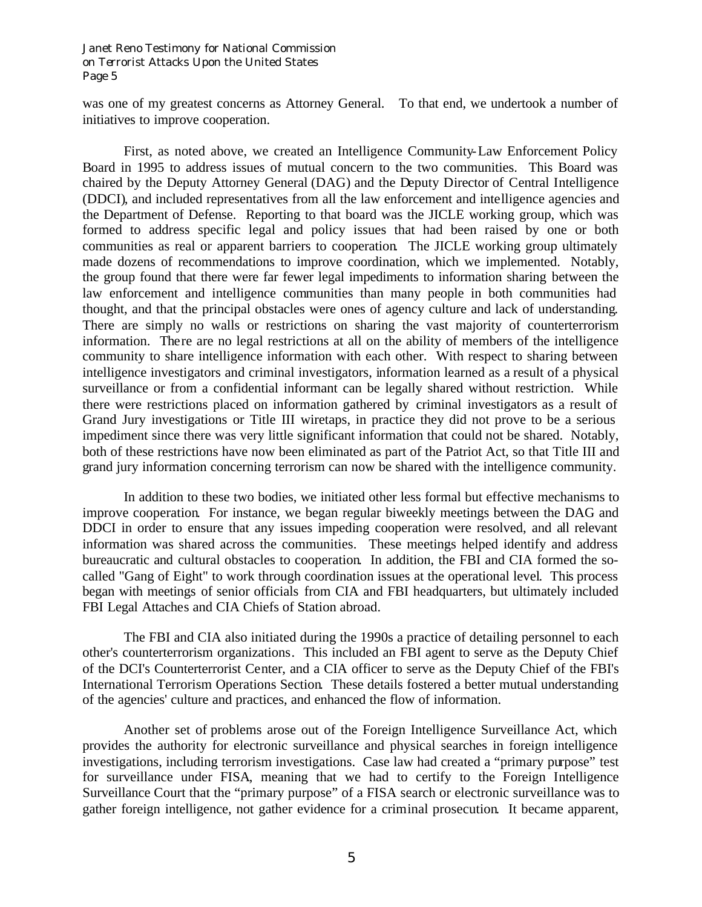was one of my greatest concerns as Attorney General. To that end, we undertook a number of initiatives to improve cooperation.

First, as noted above, we created an Intelligence Community-Law Enforcement Policy Board in 1995 to address issues of mutual concern to the two communities. This Board was chaired by the Deputy Attorney General (DAG) and the Deputy Director of Central Intelligence (DDCI), and included representatives from all the law enforcement and intelligence agencies and the Department of Defense. Reporting to that board was the JICLE working group, which was formed to address specific legal and policy issues that had been raised by one or both communities as real or apparent barriers to cooperation. The JICLE working group ultimately made dozens of recommendations to improve coordination, which we implemented. Notably, the group found that there were far fewer legal impediments to information sharing between the law enforcement and intelligence communities than many people in both communities had thought, and that the principal obstacles were ones of agency culture and lack of understanding. There are simply no walls or restrictions on sharing the vast majority of counterterrorism information. There are no legal restrictions at all on the ability of members of the intelligence community to share intelligence information with each other. With respect to sharing between intelligence investigators and criminal investigators, information learned as a result of a physical surveillance or from a confidential informant can be legally shared without restriction. While there were restrictions placed on information gathered by criminal investigators as a result of Grand Jury investigations or Title III wiretaps, in practice they did not prove to be a serious impediment since there was very little significant information that could not be shared. Notably, both of these restrictions have now been eliminated as part of the Patriot Act, so that Title III and grand jury information concerning terrorism can now be shared with the intelligence community.

In addition to these two bodies, we initiated other less formal but effective mechanisms to improve cooperation. For instance, we began regular biweekly meetings between the DAG and DDCI in order to ensure that any issues impeding cooperation were resolved, and all relevant information was shared across the communities. These meetings helped identify and address bureaucratic and cultural obstacles to cooperation. In addition, the FBI and CIA formed the socalled "Gang of Eight" to work through coordination issues at the operational level. This process began with meetings of senior officials from CIA and FBI headquarters, but ultimately included FBI Legal Attaches and CIA Chiefs of Station abroad.

The FBI and CIA also initiated during the 1990s a practice of detailing personnel to each other's counterterrorism organizations. This included an FBI agent to serve as the Deputy Chief of the DCI's Counterterrorist Center, and a CIA officer to serve as the Deputy Chief of the FBI's International Terrorism Operations Section. These details fostered a better mutual understanding of the agencies' culture and practices, and enhanced the flow of information.

Another set of problems arose out of the Foreign Intelligence Surveillance Act, which provides the authority for electronic surveillance and physical searches in foreign intelligence investigations, including terrorism investigations. Case law had created a "primary purpose" test for surveillance under FISA, meaning that we had to certify to the Foreign Intelligence Surveillance Court that the "primary purpose" of a FISA search or electronic surveillance was to gather foreign intelligence, not gather evidence for a criminal prosecution. It became apparent,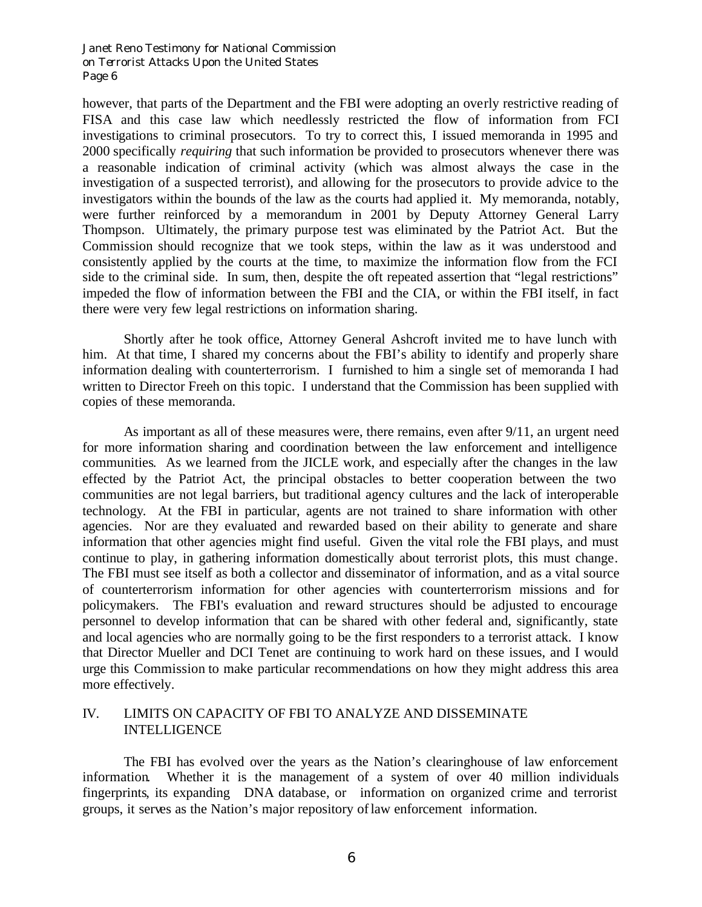however, that parts of the Department and the FBI were adopting an overly restrictive reading of FISA and this case law which needlessly restricted the flow of information from FCI investigations to criminal prosecutors. To try to correct this, I issued memoranda in 1995 and 2000 specifically *requiring* that such information be provided to prosecutors whenever there was a reasonable indication of criminal activity (which was almost always the case in the investigation of a suspected terrorist), and allowing for the prosecutors to provide advice to the investigators within the bounds of the law as the courts had applied it. My memoranda, notably, were further reinforced by a memorandum in 2001 by Deputy Attorney General Larry Thompson. Ultimately, the primary purpose test was eliminated by the Patriot Act. But the Commission should recognize that we took steps, within the law as it was understood and consistently applied by the courts at the time, to maximize the information flow from the FCI side to the criminal side. In sum, then, despite the oft repeated assertion that "legal restrictions" impeded the flow of information between the FBI and the CIA, or within the FBI itself, in fact there were very few legal restrictions on information sharing.

Shortly after he took office, Attorney General Ashcroft invited me to have lunch with him. At that time, I shared my concerns about the FBI's ability to identify and properly share information dealing with counterterrorism. I furnished to him a single set of memoranda I had written to Director Freeh on this topic. I understand that the Commission has been supplied with copies of these memoranda.

As important as all of these measures were, there remains, even after 9/11, an urgent need for more information sharing and coordination between the law enforcement and intelligence communities. As we learned from the JICLE work, and especially after the changes in the law effected by the Patriot Act, the principal obstacles to better cooperation between the two communities are not legal barriers, but traditional agency cultures and the lack of interoperable technology. At the FBI in particular, agents are not trained to share information with other agencies. Nor are they evaluated and rewarded based on their ability to generate and share information that other agencies might find useful. Given the vital role the FBI plays, and must continue to play, in gathering information domestically about terrorist plots, this must change. The FBI must see itself as both a collector and disseminator of information, and as a vital source of counterterrorism information for other agencies with counterterrorism missions and for policymakers. The FBI's evaluation and reward structures should be adjusted to encourage personnel to develop information that can be shared with other federal and, significantly, state and local agencies who are normally going to be the first responders to a terrorist attack. I know that Director Mueller and DCI Tenet are continuing to work hard on these issues, and I would urge this Commission to make particular recommendations on how they might address this area more effectively.

# IV. LIMITS ON CAPACITY OF FBI TO ANALYZE AND DISSEMINATE INTELLIGENCE

The FBI has evolved over the years as the Nation's clearinghouse of law enforcement information. Whether it is the management of a system of over 40 million individuals fingerprints, its expanding DNA database, or information on organized crime and terrorist groups, it serves as the Nation's major repository of law enforcement information.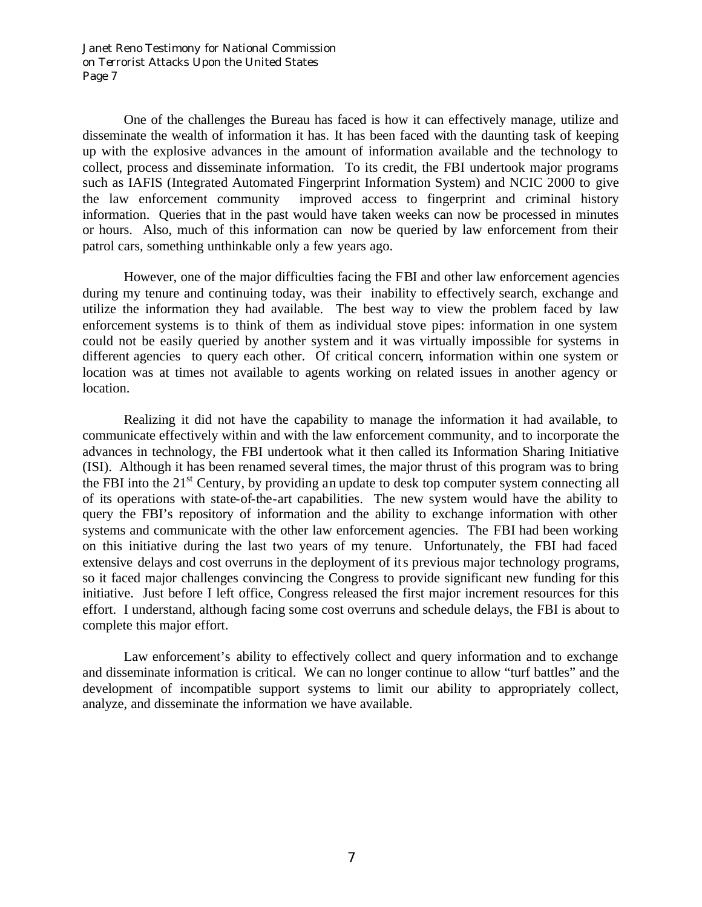One of the challenges the Bureau has faced is how it can effectively manage, utilize and disseminate the wealth of information it has. It has been faced with the daunting task of keeping up with the explosive advances in the amount of information available and the technology to collect, process and disseminate information. To its credit, the FBI undertook major programs such as IAFIS (Integrated Automated Fingerprint Information System) and NCIC 2000 to give the law enforcement community improved access to fingerprint and criminal history information. Queries that in the past would have taken weeks can now be processed in minutes or hours. Also, much of this information can now be queried by law enforcement from their patrol cars, something unthinkable only a few years ago.

However, one of the major difficulties facing the FBI and other law enforcement agencies during my tenure and continuing today, was their inability to effectively search, exchange and utilize the information they had available. The best way to view the problem faced by law enforcement systems is to think of them as individual stove pipes: information in one system could not be easily queried by another system and it was virtually impossible for systems in different agencies to query each other. Of critical concern, information within one system or location was at times not available to agents working on related issues in another agency or location.

Realizing it did not have the capability to manage the information it had available, to communicate effectively within and with the law enforcement community, and to incorporate the advances in technology, the FBI undertook what it then called its Information Sharing Initiative (ISI). Although it has been renamed several times, the major thrust of this program was to bring the FBI into the  $21<sup>st</sup>$  Century, by providing an update to desk top computer system connecting all of its operations with state-of-the-art capabilities. The new system would have the ability to query the FBI's repository of information and the ability to exchange information with other systems and communicate with the other law enforcement agencies. The FBI had been working on this initiative during the last two years of my tenure. Unfortunately, the FBI had faced extensive delays and cost overruns in the deployment of its previous major technology programs, so it faced major challenges convincing the Congress to provide significant new funding for this initiative. Just before I left office, Congress released the first major increment resources for this effort. I understand, although facing some cost overruns and schedule delays, the FBI is about to complete this major effort.

Law enforcement's ability to effectively collect and query information and to exchange and disseminate information is critical. We can no longer continue to allow "turf battles" and the development of incompatible support systems to limit our ability to appropriately collect, analyze, and disseminate the information we have available.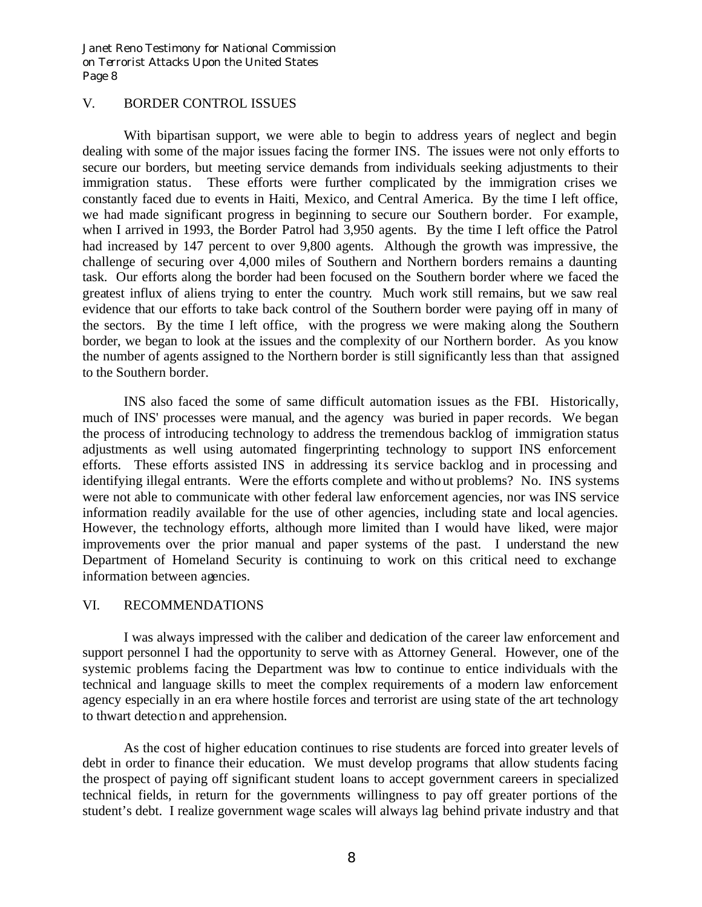### V. BORDER CONTROL ISSUES

With bipartisan support, we were able to begin to address years of neglect and begin dealing with some of the major issues facing the former INS. The issues were not only efforts to secure our borders, but meeting service demands from individuals seeking adjustments to their immigration status. These efforts were further complicated by the immigration crises we constantly faced due to events in Haiti, Mexico, and Central America. By the time I left office, we had made significant progress in beginning to secure our Southern border. For example, when I arrived in 1993, the Border Patrol had 3,950 agents. By the time I left office the Patrol had increased by 147 percent to over 9,800 agents. Although the growth was impressive, the challenge of securing over 4,000 miles of Southern and Northern borders remains a daunting task. Our efforts along the border had been focused on the Southern border where we faced the greatest influx of aliens trying to enter the country. Much work still remains, but we saw real evidence that our efforts to take back control of the Southern border were paying off in many of the sectors. By the time I left office, with the progress we were making along the Southern border, we began to look at the issues and the complexity of our Northern border. As you know the number of agents assigned to the Northern border is still significantly less than that assigned to the Southern border.

INS also faced the some of same difficult automation issues as the FBI. Historically, much of INS' processes were manual, and the agency was buried in paper records. We began the process of introducing technology to address the tremendous backlog of immigration status adjustments as well using automated fingerprinting technology to support INS enforcement efforts. These efforts assisted INS in addressing its service backlog and in processing and identifying illegal entrants. Were the efforts complete and without problems? No. INS systems were not able to communicate with other federal law enforcement agencies, nor was INS service information readily available for the use of other agencies, including state and local agencies. However, the technology efforts, although more limited than I would have liked, were major improvements over the prior manual and paper systems of the past. I understand the new Department of Homeland Security is continuing to work on this critical need to exchange information between agencies.

#### VI. RECOMMENDATIONS

I was always impressed with the caliber and dedication of the career law enforcement and support personnel I had the opportunity to serve with as Attorney General. However, one of the systemic problems facing the Department was how to continue to entice individuals with the technical and language skills to meet the complex requirements of a modern law enforcement agency especially in an era where hostile forces and terrorist are using state of the art technology to thwart detection and apprehension.

As the cost of higher education continues to rise students are forced into greater levels of debt in order to finance their education. We must develop programs that allow students facing the prospect of paying off significant student loans to accept government careers in specialized technical fields, in return for the governments willingness to pay off greater portions of the student's debt. I realize government wage scales will always lag behind private industry and that